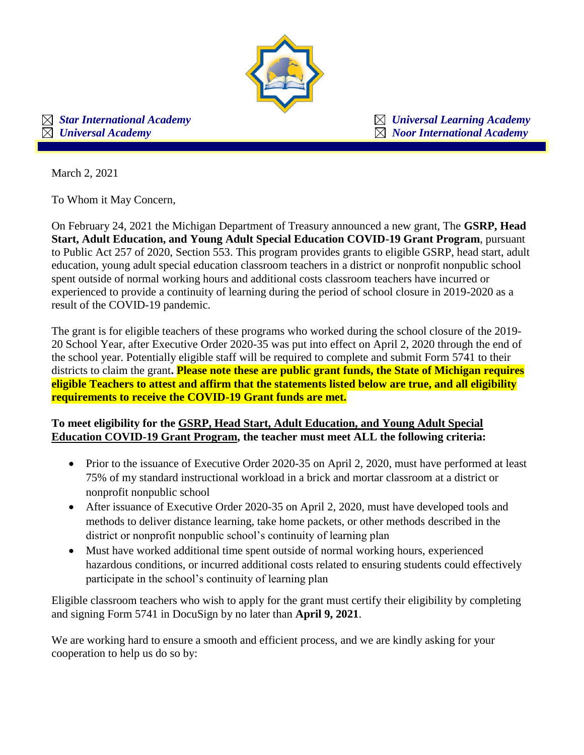

 *Star International Academy Universal Learning Academy*   $\boxtimes$  *Universal Academy*  $\boxtimes$  *Noor International Academy* 

March 2, 2021

To Whom it May Concern,

On February 24, 2021 the Michigan Department of Treasury announced a new grant, The **GSRP, Head Start, Adult Education, and Young Adult Special Education COVID-19 Grant Program**, pursuant to Public Act 257 of 2020, Section 553. This program provides grants to eligible GSRP, head start, adult education, young adult special education classroom teachers in a district or nonprofit nonpublic school spent outside of normal working hours and additional costs classroom teachers have incurred or experienced to provide a continuity of learning during the period of school closure in 2019-2020 as a result of the COVID-19 pandemic.

The grant is for eligible teachers of these programs who worked during the school closure of the 2019- 20 School Year, after Executive Order 2020-35 was put into effect on April 2, 2020 through the end of the school year. Potentially eligible staff will be required to complete and submit Form 5741 to their districts to claim the grant**. Please note these are public grant funds, the State of Michigan requires eligible Teachers to attest and affirm that the statements listed below are true, and all eligibility requirements to receive the COVID-19 Grant funds are met.** 

## **To meet eligibility for the GSRP, Head Start, Adult Education, and Young Adult Special Education COVID-19 Grant Program, the teacher must meet ALL the following criteria:**

- Prior to the issuance of Executive Order 2020-35 on April 2, 2020, must have performed at least 75% of my standard instructional workload in a brick and mortar classroom at a district or nonprofit nonpublic school
- After issuance of Executive Order 2020-35 on April 2, 2020, must have developed tools and methods to deliver distance learning, take home packets, or other methods described in the district or nonprofit nonpublic school's continuity of learning plan
- Must have worked additional time spent outside of normal working hours, experienced hazardous conditions, or incurred additional costs related to ensuring students could effectively participate in the school's continuity of learning plan

Eligible classroom teachers who wish to apply for the grant must certify their eligibility by completing and signing Form 5741 in DocuSign by no later than **April 9, 2021**.

We are working hard to ensure a smooth and efficient process, and we are kindly asking for your cooperation to help us do so by: